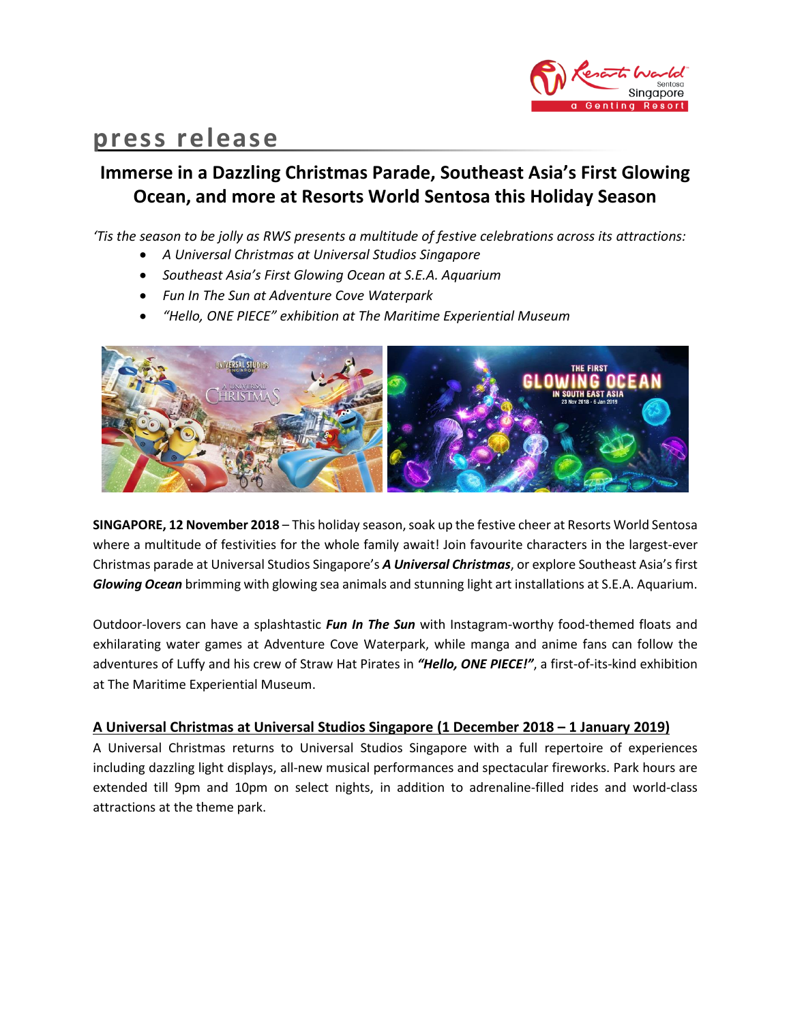

# **press release**

## **Immerse in a Dazzling Christmas Parade, Southeast Asia's First Glowing Ocean, and more at Resorts World Sentosa this Holiday Season**

*'Tis the season to be jolly as RWS presents a multitude of festive celebrations across its attractions:*

- *A Universal Christmas at Universal Studios Singapore*
- *Southeast Asia's First Glowing Ocean at S.E.A. Aquarium*
- *Fun In The Sun at Adventure Cove Waterpark*
- *"Hello, ONE PIECE" exhibition at The Maritime Experiential Museum*



**SINGAPORE, 12 November 2018** – This holiday season, soak up the festive cheer at Resorts World Sentosa where a multitude of festivities for the whole family await! Join favourite characters in the largest-ever Christmas parade at Universal Studios Singapore's *A Universal Christmas*, or explore Southeast Asia's first *Glowing Ocean* brimming with glowing sea animals and stunning light art installations at S.E.A. Aquarium.

Outdoor-lovers can have a splashtastic *Fun In The Sun* with Instagram-worthy food-themed floats and exhilarating water games at Adventure Cove Waterpark, while manga and anime fans can follow the adventures of Luffy and his crew of Straw Hat Pirates in *"Hello, ONE PIECE!"*, a first-of-its-kind exhibition at The Maritime Experiential Museum.

## **A Universal Christmas at Universal Studios Singapore (1 December 2018 – 1 January 2019)**

A Universal Christmas returns to Universal Studios Singapore with a full repertoire of experiences including dazzling light displays, all-new musical performances and spectacular fireworks. Park hours are extended till 9pm and 10pm on select nights, in addition to adrenaline-filled rides and world-class attractions at the theme park.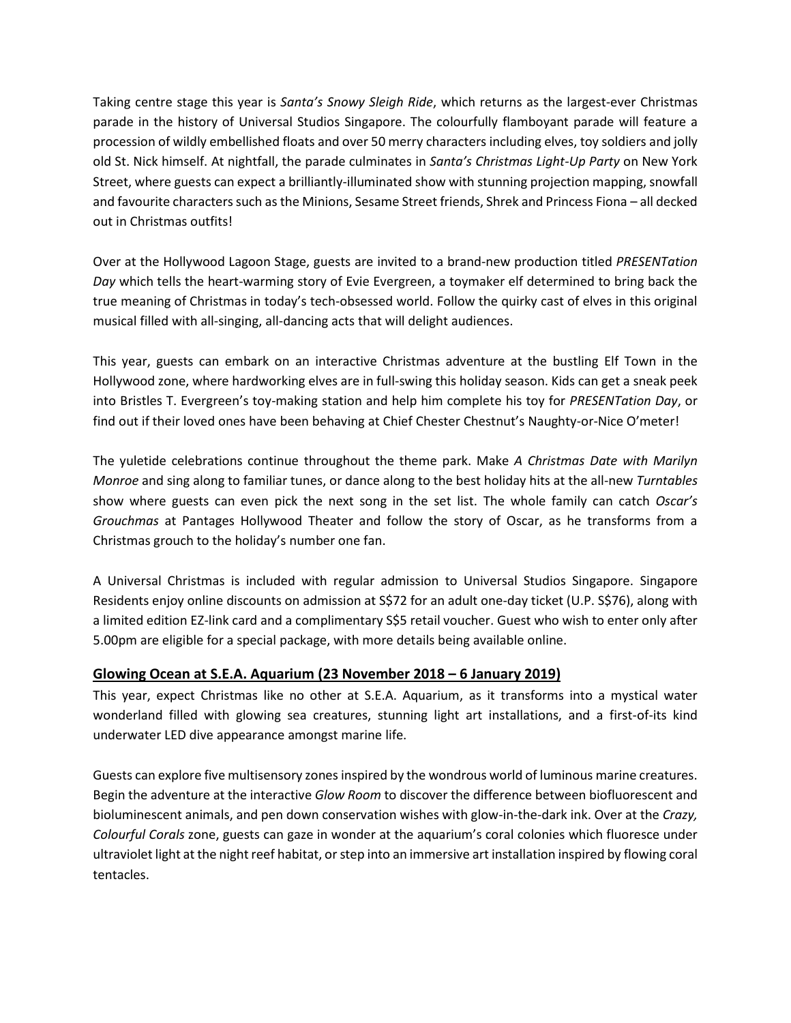Taking centre stage this year is *Santa's Snowy Sleigh Ride*, which returns as the largest-ever Christmas parade in the history of Universal Studios Singapore. The colourfully flamboyant parade will feature a procession of wildly embellished floats and over 50 merry characters including elves, toy soldiers and jolly old St. Nick himself. At nightfall, the parade culminates in *Santa's Christmas Light-Up Party* on New York Street, where guests can expect a brilliantly-illuminated show with stunning projection mapping, snowfall and favourite characters such asthe Minions, Sesame Street friends, Shrek and Princess Fiona – all decked out in Christmas outfits!

Over at the Hollywood Lagoon Stage, guests are invited to a brand-new production titled *PRESENTation Day* which tells the heart-warming story of Evie Evergreen, a toymaker elf determined to bring back the true meaning of Christmas in today's tech-obsessed world. Follow the quirky cast of elves in this original musical filled with all-singing, all-dancing acts that will delight audiences.

This year, guests can embark on an interactive Christmas adventure at the bustling Elf Town in the Hollywood zone, where hardworking elves are in full-swing this holiday season. Kids can get a sneak peek into Bristles T. Evergreen's toy-making station and help him complete his toy for *PRESENTation Day*, or find out if their loved ones have been behaving at Chief Chester Chestnut's Naughty-or-Nice O'meter!

The yuletide celebrations continue throughout the theme park. Make *A Christmas Date with Marilyn Monroe* and sing along to familiar tunes, or dance along to the best holiday hits at the all-new *Turntables* show where guests can even pick the next song in the set list. The whole family can catch *Oscar's Grouchmas* at Pantages Hollywood Theater and follow the story of Oscar, as he transforms from a Christmas grouch to the holiday's number one fan.

A Universal Christmas is included with regular admission to Universal Studios Singapore. Singapore Residents enjoy online discounts on admission at S\$72 for an adult one-day ticket (U.P. S\$76), along with a limited edition EZ-link card and a complimentary S\$5 retail voucher. Guest who wish to enter only after 5.00pm are eligible for a special package, with more details being available online.

## **Glowing Ocean at S.E.A. Aquarium (23 November 2018 – 6 January 2019)**

This year, expect Christmas like no other at S.E.A. Aquarium, as it transforms into a mystical water wonderland filled with glowing sea creatures, stunning light art installations, and a first-of-its kind underwater LED dive appearance amongst marine life.

Guests can explore five multisensory zones inspired by the wondrous world of luminous marine creatures. Begin the adventure at the interactive *Glow Room* to discover the difference between biofluorescent and bioluminescent animals, and pen down conservation wishes with glow-in-the-dark ink. Over at the *Crazy, Colourful Corals* zone, guests can gaze in wonder at the aquarium's coral colonies which fluoresce under ultraviolet light at the night reef habitat, or step into an immersive art installation inspired by flowing coral tentacles.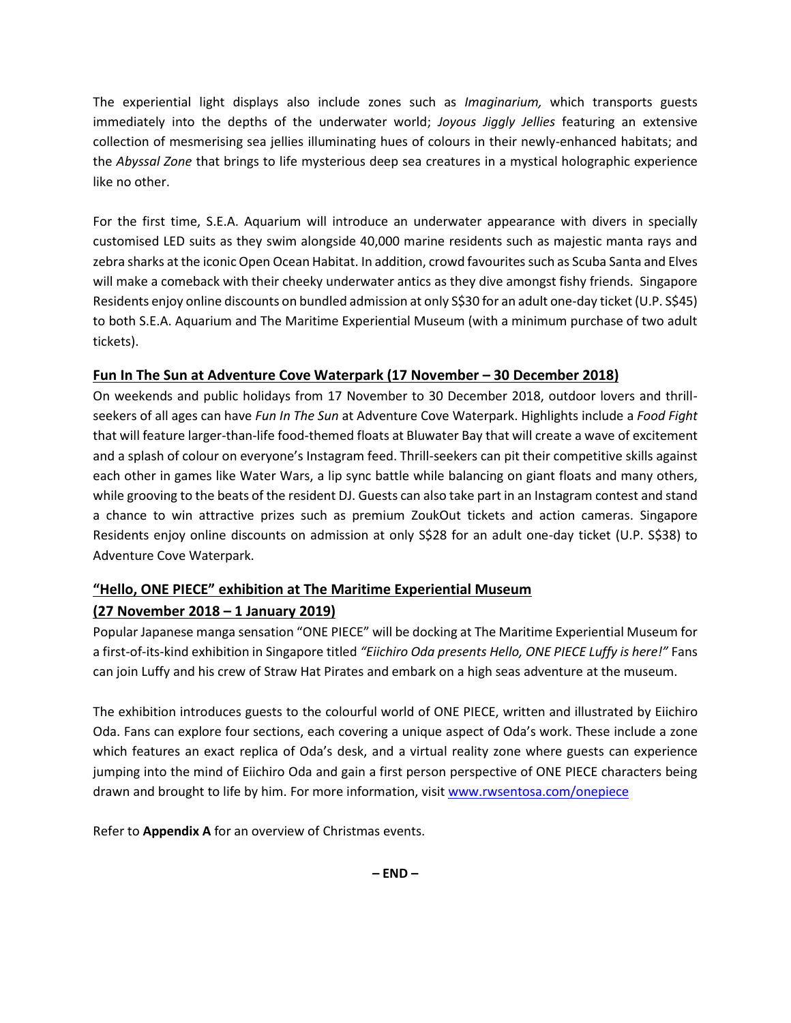The experiential light displays also include zones such as *Imaginarium,* which transports guests immediately into the depths of the underwater world; *Joyous Jiggly Jellies* featuring an extensive collection of mesmerising sea jellies illuminating hues of colours in their newly-enhanced habitats; and the *Abyssal Zone* that brings to life mysterious deep sea creatures in a mystical holographic experience like no other.

For the first time, S.E.A. Aquarium will introduce an underwater appearance with divers in specially customised LED suits as they swim alongside 40,000 marine residents such as majestic manta rays and zebra sharks at the iconic Open Ocean Habitat. In addition, crowd favourites such as Scuba Santa and Elves will make a comeback with their cheeky underwater antics as they dive amongst fishy friends. Singapore Residents enjoy online discounts on bundled admission at only S\$30 for an adult one-day ticket (U.P. S\$45) to both S.E.A. Aquarium and The Maritime Experiential Museum (with a minimum purchase of two adult tickets).

## **Fun In The Sun at Adventure Cove Waterpark (17 November – 30 December 2018)**

On weekends and public holidays from 17 November to 30 December 2018, outdoor lovers and thrillseekers of all ages can have *Fun In The Sun* at Adventure Cove Waterpark. Highlights include a *Food Fight* that will feature larger-than-life food-themed floats at Bluwater Bay that will create a wave of excitement and a splash of colour on everyone's Instagram feed. Thrill-seekers can pit their competitive skills against each other in games like Water Wars, a lip sync battle while balancing on giant floats and many others, while grooving to the beats of the resident DJ. Guests can also take part in an Instagram contest and stand a chance to win attractive prizes such as premium ZoukOut tickets and action cameras. Singapore Residents enjoy online discounts on admission at only S\$28 for an adult one-day ticket (U.P. S\$38) to Adventure Cove Waterpark.

## **"Hello, ONE PIECE" exhibition at The Maritime Experiential Museum**

## **(27 November 2018 – 1 January 2019)**

Popular Japanese manga sensation "ONE PIECE" will be docking at The Maritime Experiential Museum for a first-of-its-kind exhibition in Singapore titled *"Eiichiro Oda presents Hello, ONE PIECE Luffy is here!"* Fans can join Luffy and his crew of Straw Hat Pirates and embark on a high seas adventure at the museum.

The exhibition introduces guests to the colourful world of ONE PIECE, written and illustrated by Eiichiro Oda. Fans can explore four sections, each covering a unique aspect of Oda's work. These include a zone which features an exact replica of Oda's desk, and a virtual reality zone where guests can experience jumping into the mind of Eiichiro Oda and gain a first person perspective of ONE PIECE characters being drawn and brought to life by him. For more information, visit [www.rwsentosa.com/onepiece](http://www.rwsentosa.com/onepiece)

Refer to **Appendix A** for an overview of Christmas events.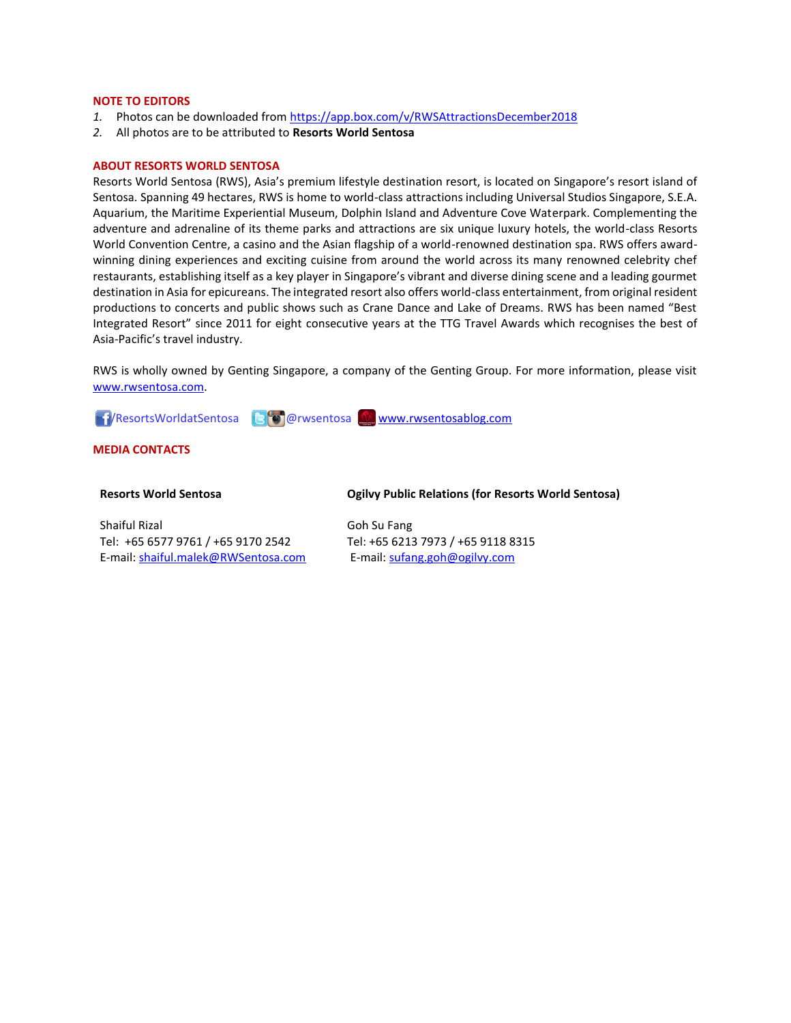#### **NOTE TO EDITORS**

- *1.* Photos can be downloaded fro[m https://app.box.com/v/RWSAttractionsDecember2018](https://app.box.com/v/RWSAttractionsDecember2018)
- *2.* All photos are to be attributed to **Resorts World Sentosa**

#### **ABOUT RESORTS WORLD SENTOSA**

Resorts World Sentosa (RWS), Asia's premium lifestyle destination resort, is located on Singapore's resort island of Sentosa. Spanning 49 hectares, RWS is home to world-class attractions including Universal Studios Singapore, S.E.A. Aquarium, the Maritime Experiential Museum, Dolphin Island and Adventure Cove Waterpark. Complementing the adventure and adrenaline of its theme parks and attractions are six unique luxury hotels, the world-class Resorts World Convention Centre, a casino and the Asian flagship of a world-renowned destination spa. RWS offers awardwinning dining experiences and exciting cuisine from around the world across its many renowned celebrity chef restaurants, establishing itself as a key player in Singapore's vibrant and diverse dining scene and a leading gourmet destination in Asia for epicureans. The integrated resort also offers world-class entertainment, from original resident productions to concerts and public shows such as Crane Dance and Lake of Dreams. RWS has been named "Best Integrated Resort" since 2011 for eight consecutive years at the TTG Travel Awards which recognises the best of Asia-Pacific's travel industry.

RWS is wholly owned by Genting Singapore, a company of the Genting Group. For more information, please visit [www.rwsentosa.com.](http://www.rwsentosa.com/)

**11/ResortsWorldatSentosa** BOO wsentosa [www.rwsentosablog.com](http://www.rwsentosablog.com/)

#### **MEDIA CONTACTS**

#### **Resorts World Sentosa**

Shaiful Rizal Tel: +65 6577 9761 / +65 9170 2542 E-mail[: shaiful.malek@RWSentosa.com](mailto:shaiful.malek@RWSentosa.com)

#### **Ogilvy Public Relations (for Resorts World Sentosa)**

Goh Su Fang Tel: +65 6213 7973 / +65 9118 8315 E-mail: [sufang.goh@ogilvy.com](mailto:sufang.goh@ogilvy.com)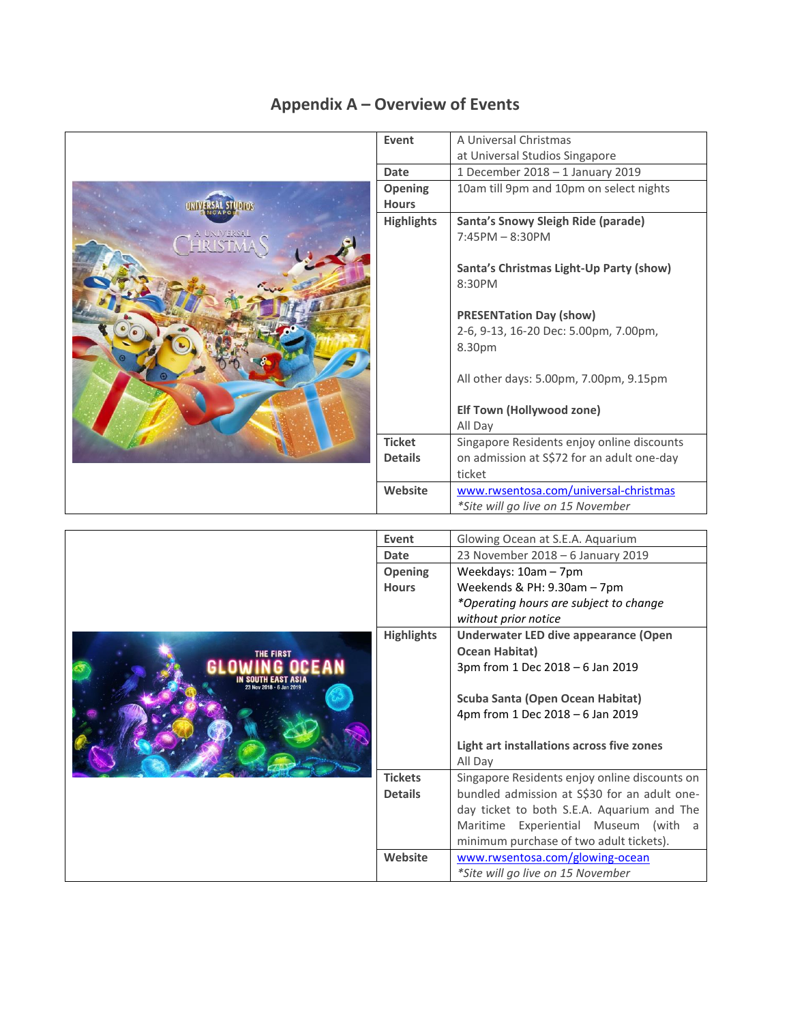

Maritime Experiential Museum (with a minimum purchase of two adult tickets).

**Website** [www.rwsentosa.com/glowing-ocean](file:///C:/Users/victoria.ang/AppData/Local/Microsoft/Windows/Temporary%20Internet%20Files/Content.Outlook/UUQJJJ3M/www.rwsentosa.com/glowing-ocean)

*\*Site will go live on 15 November*

## **Appendix A – Overview of Events**